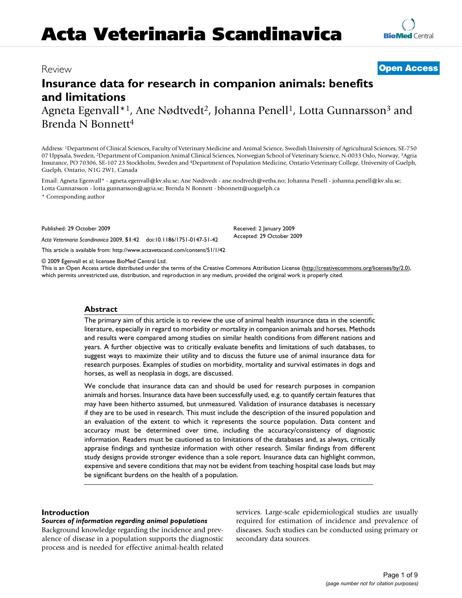# **Acta Veterinaria Scandinavica**

# **Insurance data for research in companion animals: benefits and limitations**

Agneta Egenvall<sup>\*1</sup>, Ane Nødtvedt<sup>2</sup>, Johanna Penell<sup>1</sup>, Lotta Gunnarsson<sup>3</sup> and Brenda N Bonnett4

Address: 1Department of Clinical Sciences, Faculty of Veterinary Medicine and Animal Science, Swedish University of Agricultural Sciences, SE-750 07 Uppsala, Sweden, 2Department of Companion Animal Clinical Sciences, Norwegian School of Veterinary Science, N-0033 Oslo, Norway, 3Agria Insurance, PO 70306, SE-107 23 Stockholm, Sweden and 4Department of Population Medicine, Ontario Veterinary College, University of Guelph, Guelph, Ontario, N1G 2W1, Canada

Email: Agneta Egenvall\* - agneta.egenvall@kv.slu.se; Ane Nødtvedt - ane.nodtvedt@veths.no; Johanna Penell - johanna.penell@kv.slu.se; Lotta Gunnarsson - lotta.gunnarsson@agria.se; Brenda N Bonnett - bbonnett@uoguelph.ca

\* Corresponding author

Published: 29 October 2009

*Acta Veterinaria Scandinavica* 2009, **51**:42 doi:10.1186/1751-0147-51-42

[This article is available from: http://www.actavetscand.com/content/51/1/42](http://www.actavetscand.com/content/51/1/42)

© 2009 Egenvall et al; licensee BioMed Central Ltd.

This is an Open Access article distributed under the terms of the Creative Commons Attribution License [\(http://creativecommons.org/licenses/by/2.0\)](http://creativecommons.org/licenses/by/2.0), which permits unrestricted use, distribution, and reproduction in any medium, provided the original work is properly cited.

Received: 2 January 2009 Accepted: 29 October 2009

#### **Abstract**

The primary aim of this article is to review the use of animal health insurance data in the scientific literature, especially in regard to morbidity or mortality in companion animals and horses. Methods and results were compared among studies on similar health conditions from different nations and years. A further objective was to critically evaluate benefits and limitations of such databases, to suggest ways to maximize their utility and to discuss the future use of animal insurance data for research purposes. Examples of studies on morbidity, mortality and survival estimates in dogs and horses, as well as neoplasia in dogs, are discussed.

We conclude that insurance data can and should be used for research purposes in companion animals and horses. Insurance data have been successfully used, e.g. to quantify certain features that may have been hitherto assumed, but unmeasured. Validation of insurance databases is necessary if they are to be used in research. This must include the description of the insured population and an evaluation of the extent to which it represents the source population. Data content and accuracy must be determined over time, including the accuracy/consistency of diagnostic information. Readers must be cautioned as to limitations of the databases and, as always, critically appraise findings and synthesize information with other research. Similar findings from different study designs provide stronger evidence than a sole report. Insurance data can highlight common, expensive and severe conditions that may not be evident from teaching hospital case loads but may be significant burdens on the health of a population.

#### **Introduction**

#### *Sources of information regarding animal populations*

Background knowledge regarding the incidence and prevalence of disease in a population supports the diagnostic process and is needed for effective animal-health related services. Large-scale epidemiological studies are usually required for estimation of incidence and prevalence of diseases. Such studies can be conducted using primary or secondary data sources.

**[Open Access](http://www.biomedcentral.com/info/about/charter/)**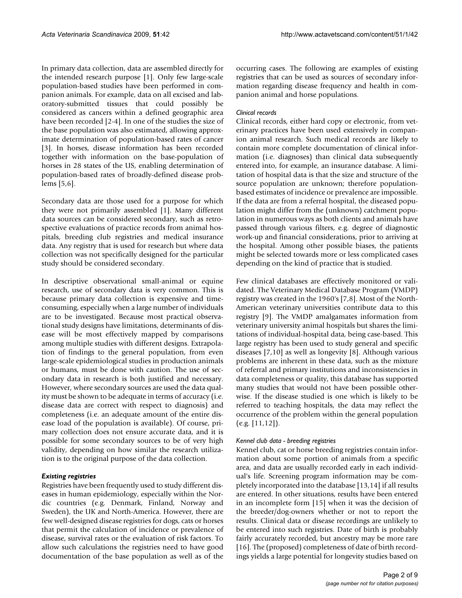In primary data collection, data are assembled directly for the intended research purpose [[1](#page-7-0)]. Only few large-scale population-based studies have been performed in companion animals. For example, data on all excised and laboratory-submitted tissues that could possibly be considered as cancers within a defined geographic area have been recorded [[2](#page-7-1)[-4\]](#page-7-2). In one of the studies the size of the base population was also estimated, allowing approximate determination of population-based rates of cancer [[3\]](#page-7-3). In horses, disease information has been recorded together with information on the base-population of horses in 28 states of the US, enabling determination of population-based rates of broadly-defined disease problems [[5](#page-7-4),[6](#page-7-5)].

Secondary data are those used for a purpose for which they were not primarily assembled [\[1\]](#page-7-0). Many different data sources can be considered secondary, such as retrospective evaluations of practice records from animal hospitals, breeding club registries and medical insurance data. Any registry that is used for research but where data collection was not specifically designed for the particular study should be considered secondary.

In descriptive observational small-animal or equine research, use of secondary data is very common. This is because primary data collection is expensive and timeconsuming, especially when a large number of individuals are to be investigated. Because most practical observational study designs have limitations, determinants of disease will be most effectively mapped by comparisons among multiple studies with different designs. Extrapolation of findings to the general population, from even large-scale epidemiological studies in production animals or humans, must be done with caution. The use of secondary data in research is both justified and necessary. However, where secondary sources are used the data quality must be shown to be adequate in terms of accuracy (i.e. disease data are correct with respect to diagnosis) and completeness (i.e. an adequate amount of the entire disease load of the population is available). Of course, primary collection does not ensure accurate data, and it is possible for some secondary sources to be of very high validity, depending on how similar the research utilization is to the original purpose of the data collection.

# *Existing registries*

Registries have been frequently used to study different diseases in human epidemiology, especially within the Nordic countries (e.g. Denmark, Finland, Norway and Sweden), the UK and North-America. However, there are few well-designed disease registries for dogs, cats or horses that permit the calculation of incidence or prevalence of disease, survival rates or the evaluation of risk factors. To allow such calculations the registries need to have good documentation of the base population as well as of the

occurring cases. The following are examples of existing registries that can be used as sources of secondary information regarding disease frequency and health in companion animal and horse populations.

#### *Clinical records*

Clinical records, either hard copy or electronic, from veterinary practices have been used extensively in companion animal research. Such medical records are likely to contain more complete documentation of clinical information (i.e. diagnoses) than clinical data subsequently entered into, for example, an insurance database. A limitation of hospital data is that the size and structure of the source population are unknown; therefore populationbased estimates of incidence or prevalence are impossible. If the data are from a referral hospital, the diseased population might differ from the (unknown) catchment population in numerous ways as both clients and animals have passed through various filters, e.g. degree of diagnostic work-up and financial considerations, prior to arriving at the hospital. Among other possible biases, the patients might be selected towards more or less complicated cases depending on the kind of practice that is studied.

Few clinical databases are effectively monitored or validated. The Veterinary Medical Database Program (VMDP) registry was created in the 1960's [[7](#page-7-6),[8](#page-7-7)]. Most of the North-American veterinary universities contribute data to this registry [\[9\]](#page-7-8). The VMDP amalgamates information from veterinary university animal hospitals but shares the limitations of individual-hospital data, being case-based. This large registry has been used to study general and specific diseases [[7](#page-7-6),[10\]](#page-7-9) as well as longevity [[8](#page-7-7)]. Although various problems are inherent in these data, such as the mixture of referral and primary institutions and inconsistencies in data completeness or quality, this database has supported many studies that would not have been possible otherwise. If the disease studied is one which is likely to be referred to teaching hospitals, the data may reflect the occurrence of the problem within the general population (e.g. [\[11](#page-7-10),[12](#page-7-11)]).

#### *Kennel club data - breeding registries*

Kennel club, cat or horse breeding registries contain information about some portion of animals from a specific area, and data are usually recorded early in each individual's life. Screening program information may be completely incorporated into the database [[13](#page-7-12)[,14\]](#page-7-13) if all results are entered. In other situations, results have been entered in an incomplete form [\[15](#page-7-14)] when it was the decision of the breeder/dog-owners whether or not to report the results. Clinical data or disease recordings are unlikely to be entered into such registries. Date of birth is probably fairly accurately recorded, but ancestry may be more rare [[16](#page-7-15)]. The (proposed) completeness of date of birth recordings yields a large potential for longevity studies based on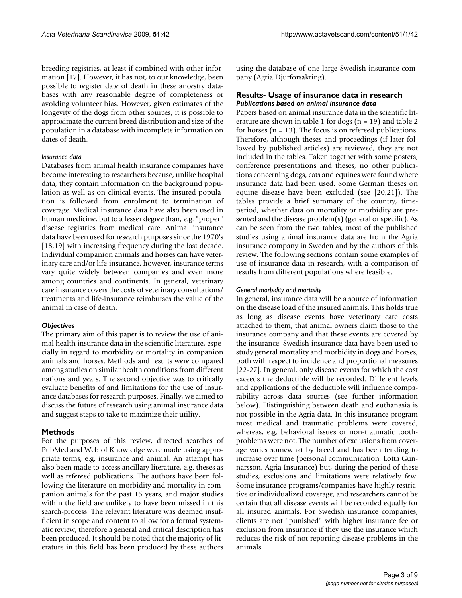breeding registries, at least if combined with other information [\[17](#page-7-16)]. However, it has not, to our knowledge, been possible to register date of death in these ancestry databases with any reasonable degree of completeness or avoiding volunteer bias. However, given estimates of the longevity of the dogs from other sources, it is possible to approximate the current breed distribution and size of the population in a database with incomplete information on dates of death.

#### *Insurance data*

Databases from animal health insurance companies have become interesting to researchers because, unlike hospital data, they contain information on the background population as well as on clinical events. The insured population is followed from enrolment to termination of coverage. Medical insurance data have also been used in human medicine, but to a lesser degree than, e.g. "proper" disease registries from medical care. Animal insurance data have been used for research purposes since the 1970's [[18](#page-7-17),[19\]](#page-8-0) with increasing frequency during the last decade. Individual companion animals and horses can have veterinary care and/or life-insurance, however, insurance terms vary quite widely between companies and even more among countries and continents. In general, veterinary care insurance covers the costs of veterinary consultations/ treatments and life-insurance reimburses the value of the animal in case of death.

#### *Objectives*

The primary aim of this paper is to review the use of animal health insurance data in the scientific literature, especially in regard to morbidity or mortality in companion animals and horses. Methods and results were compared among studies on similar health conditions from different nations and years. The second objective was to critically evaluate benefits of and limitations for the use of insurance databases for research purposes. Finally, we aimed to discuss the future of research using animal insurance data and suggest steps to take to maximize their utility.

#### **Methods**

For the purposes of this review, directed searches of PubMed and Web of Knowledge were made using appropriate terms, e.g. insurance and animal. An attempt has also been made to access ancillary literature, e.g. theses as well as refereed publications. The authors have been following the literature on morbidity and mortality in companion animals for the past 15 years, and major studies within the field are unlikely to have been missed in this search-process. The relevant literature was deemed insufficient in scope and content to allow for a formal systematic review, therefore a general and critical description has been produced. It should be noted that the majority of literature in this field has been produced by these authors using the database of one large Swedish insurance company (Agria Djurförsäkring).

#### **Results- Usage of insurance data in research** *Publications based on animal insurance data*

Papers based on animal insurance data in the scientific lit-erature are shown in table [1](#page-3-0) for dogs  $(n = 19)$  and table [2](#page-3-1) for horses ( $n = 13$ ). The focus is on refereed publications. Therefore, although theses and proceedings (if later followed by published articles) are reviewed, they are not included in the tables. Taken together with some posters, conference presentations and theses, no other publications concerning dogs, cats and equines were found where insurance data had been used. Some German theses on equine disease have been excluded (see [\[20](#page-8-1),[21\]](#page-8-2)). The tables provide a brief summary of the country, timeperiod, whether data on mortality or morbidity are presented and the disease problem(s) (general or specific). As can be seen from the two tables, most of the published studies using animal insurance data are from the Agria insurance company in Sweden and by the authors of this review. The following sections contain some examples of use of insurance data in research, with a comparison of results from different populations where feasible.

#### *General morbidity and mortality*

In general, insurance data will be a source of information on the disease load of the insured animals. This holds true as long as disease events have veterinary care costs attached to them, that animal owners claim those to the insurance company and that these events are covered by the insurance. Swedish insurance data have been used to study general mortality and morbidity in dogs and horses, both with respect to incidence and proportional measures [[22](#page-8-3)[-27](#page-8-4)]. In general, only disease events for which the cost exceeds the deductible will be recorded. Different levels and applications of the deductible will influence comparability across data sources (see further information below). Distinguishing between death and euthanasia is not possible in the Agria data. In this insurance program most medical and traumatic problems were covered, whereas, e.g. behavioral issues or non-traumatic toothproblems were not. The number of exclusions from coverage varies somewhat by breed and has been tending to increase over time (personal communication, Lotta Gunnarsson, Agria Insurance) but, during the period of these studies, exclusions and limitations were relatively few. Some insurance programs/companies have highly restrictive or individualized coverage, and researchers cannot be certain that all disease events will be recorded equally for all insured animals. For Swedish insurance companies, clients are not "punished" with higher insurance fee or exclusion from insurance if they use the insurance which reduces the risk of not reporting disease problems in the animals.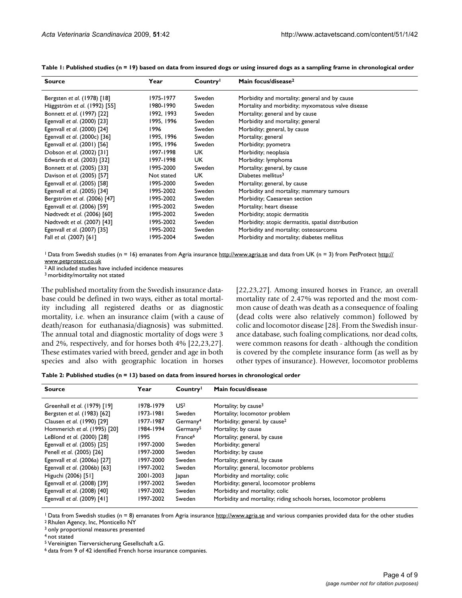| <b>Source</b>                | Year       | Country | Main focus/disease <sup>2</sup>                    |
|------------------------------|------------|---------|----------------------------------------------------|
| Bergsten et al. (1978) [18]  | 1975-1977  | Sweden  | Morbidity and mortality; general and by cause      |
| Häggström et al. (1992) [55] | 1980-1990  | Sweden  | Mortality and morbidity; myxomatous valve disease  |
| Bonnett et al. (1997) [22]   | 1992, 1993 | Sweden  | Mortality; general and by cause                    |
| Egenvall et al. (2000) [23]  | 1995, 1996 | Sweden  | Morbidity and mortality; general                   |
| Egenvall et al. (2000) [24]  | 1996       | Sweden  | Morbidity; general, by cause                       |
| Egenvall et al. (2000c) [36] | 1995, 1996 | Sweden  | Mortality; general                                 |
| Egenvall et al. (2001) [56]  | 1995, 1996 | Sweden  | Morbidity; pyometra                                |
| Dobson et al. (2002) [31]    | 1997-1998  | UK.     | Morbidity; neoplasia                               |
| Edwards et al. (2003) [32]   | 1997-1998  | UK.     | Morbidity: lymphoma                                |
| Bonnett et al. (2005) [33]   | 1995-2000  | Sweden  | Mortality; general, by cause                       |
| Davison et al. (2005) [57]   | Not stated | UK.     | Diabetes mellitus <sup>3</sup>                     |
| Egenvall et al. (2005) [58]  | 1995-2000  | Sweden  | Mortality; general, by cause                       |
| Egenvall et al. (2005) [34]  | 1995-2002  | Sweden  | Morbidity and mortality; mammary tumours           |
| Bergström et al. (2006) [47] | 1995-2002  | Sweden  | Morbidity; Caesarean section                       |
| Egenvall et al. (2006) [59]  | 1995-2002  | Sweden  | Mortality; heart disease                           |
| Nødtvedt et al. (2006) [60]  | 1995-2002  | Sweden  | Morbidity; atopic dermatitis                       |
| Nødtvedt et al. (2007) [43]  | 1995-2002  | Sweden  | Morbidity; atopic dermatitis, spatial distribution |
| Egenvall et al. (2007) [35]  | 1995-2002  | Sweden  | Morbidity and mortality; osteosarcoma              |
| Fall et al. (2007) [61]      | 1995-2004  | Sweden  | Morbidity and mortality; diabetes mellitus         |

<span id="page-3-0"></span>**Table 1: Published studies (n = 19) based on data from insured dogs or using insured dogs as a sampling frame in chronological order**

<sup>1</sup> Data from Swedish studies (n = 16) emanates from Agria insurance<http://www.agria.se>and data from UK (n = 3) from PetProtect [http://](http://www.petprotect.co.uk) [www.petprotect.co.uk](http://www.petprotect.co.uk)

2 All included studies have included incidence measures

3 morbidity/mortality not stated

The published mortality from the Swedish insurance database could be defined in two ways, either as total mortality including all registered deaths or as diagnostic mortality, i.e. when an insurance claim (with a cause of death/reason for euthanasia/diagnosis) was submitted. The annual total and diagnostic mortality of dogs were 3 and 2%, respectively, and for horses both 4% [[22](#page-8-3),[23](#page-8-5)[,27](#page-8-4)]. These estimates varied with breed, gender and age in both species and also with geographic location in horses [[22](#page-8-3),[23,](#page-8-5)[27](#page-8-4)]. Among insured horses in France, an overall mortality rate of 2.47% was reported and the most common cause of death was death as a consequence of foaling (dead colts were also relatively common) followed by colic and locomotor disease [\[28](#page-8-6)]. From the Swedish insurance database, such foaling complications, nor dead colts, were common reasons for death - although the condition is covered by the complete insurance form (as well as by other types of insurance). However, locomotor problems

<span id="page-3-1"></span>

| Source                       | Year      | Country <sup>1</sup> | Main focus/disease                                                 |
|------------------------------|-----------|----------------------|--------------------------------------------------------------------|
| Greenhall et al. (1979) [19] | 1978-1979 | US <sup>2</sup>      | Mortality; by cause <sup>3</sup>                                   |
| Bergsten et al. (1983) [62]  | 1973-1981 | Sweden               | Mortality; locomotor problem                                       |
| Clausen et al. (1990) [29]   | 1977-1987 | Germany <sup>4</sup> | Morbidity; general. by cause <sup>2</sup>                          |
| Hommerich et al. (1995) [20] | 1984-1994 | Germany <sup>5</sup> | Mortality; by cause                                                |
| LeBlond et al. (2000) [28]   | 1995      | France <sup>6</sup>  | Mortality; general, by cause                                       |
| Egenvall et al. (2005) [25]  | 1997-2000 | Sweden               | Morbidity; general                                                 |
| Penell et al. (2005) [26]    | 1997-2000 | Sweden               | Morbidity; by cause                                                |
| Egenvall et al. (2006a) [27] | 1997-2000 | Sweden               | Mortality; general, by cause                                       |
| Egenvall et al. (2006b) [63] | 1997-2002 | Sweden               | Mortality; general, locomotor problems                             |
| Higuchi (2006) [51]          | 2001-2003 | Japan                | Morbidity and mortality; colic                                     |
| Egenvall et al. (2008) [39]  | 1997-2002 | Sweden               | Morbidity; general, locomotor problems                             |
| Egenvall et al. (2008) [40]  | 1997-2002 | Sweden               | Morbidity and mortality; colic                                     |
| Egenvall et al. (2009) [41]  | 1997-2002 | Sweden               | Morbidity and mortality; riding schools horses, locomotor problems |

<sup>1</sup> Data from Swedish studies (n = 8) emanates from Agria insurance<http://www.agria.se>and various companies provided data for the other studies

2 Rhulen Agency, Inc, Monticello NY

3 only proportional measures presented

4 not stated

5 Vereinigten Tierversicherung Gesellschaft a.G.

6 data from 9 of 42 identified French horse insurance companies.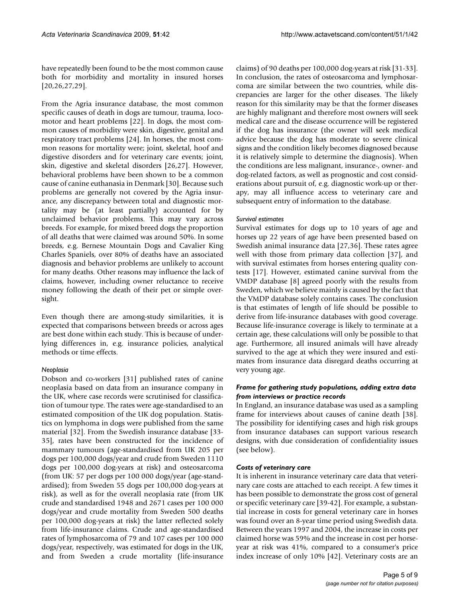have repeatedly been found to be the most common cause both for morbidity and mortality in insured horses [[20](#page-8-1),[26](#page-8-26)[,27](#page-8-4),[29](#page-8-24)].

From the Agria insurance database, the most common specific causes of death in dogs are tumour, trauma, locomotor and heart problems [[22](#page-8-3)]. In dogs, the most common causes of morbidity were skin, digestive, genital and respiratory tract problems [[24](#page-8-8)]. In horses, the most common reasons for mortality were; joint, skeletal, hoof and digestive disorders and for veterinary care events; joint, skin, digestive and skeletal disorders [[26,](#page-8-26)[27\]](#page-8-4). However, behavioral problems have been shown to be a common cause of canine euthanasia in Denmark [\[30\]](#page-8-32). Because such problems are generally not covered by the Agria insurance, any discrepancy between total and diagnostic mortality may be (at least partially) accounted for by unclaimed behavior problems. This may vary across breeds. For example, for mixed breed dogs the proportion of all deaths that were claimed was around 50%. In some breeds, e.g. Bernese Mountain Dogs and Cavalier King Charles Spaniels, over 80% of deaths have an associated diagnosis and behavior problems are unlikely to account for many deaths. Other reasons may influence the lack of claims, however, including owner reluctance to receive money following the death of their pet or simple oversight.

Even though there are among-study similarities, it is expected that comparisons between breeds or across ages are best done within each study. This is because of underlying differences in, e.g. insurance policies, analytical methods or time effects.

# *Neoplasia*

Dobson and co-workers [[31\]](#page-8-11) published rates of canine neoplasia based on data from an insurance company in the UK, where case records were scrutinised for classification of tumour type. The rates were age-standardised to an estimated composition of the UK dog population. Statistics on lymphoma in dogs were published from the same material [\[32](#page-8-12)]. From the Swedish insurance database [\[33](#page-8-13)- [35\]](#page-8-21), rates have been constructed for the incidence of mammary tumours (age-standardised from UK 205 per dogs per 100,000 dogs/year and crude from Sweden 1110 dogs per 100,000 dog-years at risk) and osteosarcoma (from UK: 57 per dogs per 100 000 dogs/year (age-standardised); from Sweden 55 dogs per 100,000 dog-years at risk), as well as for the overall neoplasia rate (from UK crude and standardised 1948 and 2671 cases per 100 000 dogs/year and crude mortality from Sweden 500 deaths per 100,000 dog-years at risk) the latter reflected solely from life-insurance claims. Crude and age-standardised rates of lymphosarcoma of 79 and 107 cases per 100 000 dogs/year, respectively, was estimated for dogs in the UK, and from Sweden a crude mortality (life-insurance claims) of 90 deaths per 100,000 dog-years at risk [\[31](#page-8-11)[-33](#page-8-13)]. In conclusion, the rates of osteosarcoma and lymphosarcoma are similar between the two countries, while discrepancies are larger for the other diseases. The likely reason for this similarity may be that the former diseases are highly malignant and therefore most owners will seek medical care and the disease occurrence will be registered if the dog has insurance (the owner will seek medical advice because the dog has moderate to severe clinical signs and the condition likely becomes diagnosed because it is relatively simple to determine the diagnosis). When the conditions are less malignant, insurance-, owner- and dog-related factors, as well as prognostic and cost considerations about pursuit of, e.g. diagnostic work-up or therapy, may all influence access to veterinary care and subsequent entry of information to the database.

# *Survival estimates*

Survival estimates for dogs up to 10 years of age and horses up 22 years of age have been presented based on Swedish animal insurance data [\[27](#page-8-4),[36\]](#page-8-9). These rates agree well with those from primary data collection [\[37](#page-8-33)], and with survival estimates from horses entering quality contests [[17](#page-7-16)]. However, estimated canine survival from the VMDP database [\[8\]](#page-7-7) agreed poorly with the results from Sweden, which we believe mainly is caused by the fact that the VMDP database solely contains cases. The conclusion is that estimates of length of life should be possible to derive from life-insurance databases with good coverage. Because life-insurance coverage is likely to terminate at a certain age, these calculations will only be possible to that age. Furthermore, all insured animals will have already survived to the age at which they were insured and estimates from insurance data disregard deaths occurring at very young age.

# *Frame for gathering study populations, adding extra data from interviews or practice records*

In England, an insurance database was used as a sampling frame for interviews about causes of canine death [\[38](#page-8-34)]. The possibility for identifying cases and high risk groups from insurance databases can support various research designs, with due consideration of confidentiality issues (see below).

# *Costs of veterinary care*

It is inherent in insurance veterinary care data that veterinary care costs are attached to each receipt. A few times it has been possible to demonstrate the gross cost of general or specific veterinary care [\[39](#page-8-29)[-42](#page-8-35)]. For example, a substantial increase in costs for general veterinary care in horses was found over an 8-year time period using Swedish data. Between the years 1997 and 2004, the increase in costs per claimed horse was 59% and the increase in cost per horseyear at risk was 41%, compared to a consumer's price index increase of only 10% [\[42](#page-8-35)]. Veterinary costs are an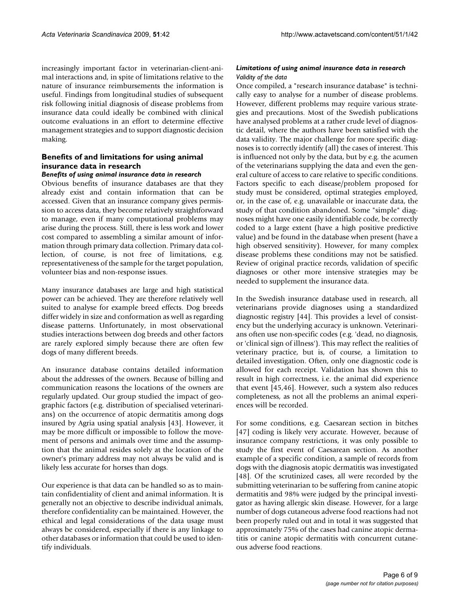increasingly important factor in veterinarian-client-animal interactions and, in spite of limitations relative to the nature of insurance reimbursements the information is useful. Findings from longitudinal studies of subsequent risk following initial diagnosis of disease problems from insurance data could ideally be combined with clinical outcome evaluations in an effort to determine effective management strategies and to support diagnostic decision making.

# **Benefits of and limitations for using animal insurance data in research**

#### *Benefits of using animal insurance data in research*

Obvious benefits of insurance databases are that they already exist and contain information that can be accessed. Given that an insurance company gives permission to access data, they become relatively straightforward to manage, even if many computational problems may arise during the process. Still, there is less work and lower cost compared to assembling a similar amount of information through primary data collection. Primary data collection, of course, is not free of limitations, e.g. representativeness of the sample for the target population, volunteer bias and non-response issues.

Many insurance databases are large and high statistical power can be achieved. They are therefore relatively well suited to analyse for example breed effects. Dog breeds differ widely in size and conformation as well as regarding disease patterns. Unfortunately, in most observational studies interactions between dog breeds and other factors are rarely explored simply because there are often few dogs of many different breeds.

An insurance database contains detailed information about the addresses of the owners. Because of billing and communication reasons the locations of the owners are regularly updated. Our group studied the impact of geographic factors (e.g. distribution of specialised veterinarians) on the occurrence of atopic dermatitis among dogs insured by Agria using spatial analysis [\[43](#page-8-20)]. However, it may be more difficult or impossible to follow the movement of persons and animals over time and the assumption that the animal resides solely at the location of the owner's primary address may not always be valid and is likely less accurate for horses than dogs.

Our experience is that data can be handled so as to maintain confidentiality of client and animal information. It is generally not an objective to describe individual animals, therefore confidentiality can be maintained. However, the ethical and legal considerations of the data usage must always be considered, especially if there is any linkage to other databases or information that could be used to identify individuals.

#### *Limitations of using animal insurance data in research Validity of the data*

Once compiled, a "research insurance database" is technically easy to analyse for a number of disease problems. However, different problems may require various strategies and precautions. Most of the Swedish publications have analysed problems at a rather crude level of diagnostic detail, where the authors have been satisfied with the data validity. The major challenge for more specific diagnoses is to correctly identify (all) the cases of interest. This is influenced not only by the data, but by e.g. the acumen of the veterinarians supplying the data and even the general culture of access to care relative to specific conditions. Factors specific to each disease/problem proposed for study must be considered, optimal strategies employed, or, in the case of, e.g. unavailable or inaccurate data, the study of that condition abandoned. Some "simple" diagnoses might have one easily identifiable code, be correctly coded to a large extent (have a high positive predictive value) and be found in the database when present (have a high observed sensitivity). However, for many complex disease problems these conditions may not be satisfied. Review of original practice records, validation of specific diagnoses or other more intensive strategies may be needed to supplement the insurance data.

In the Swedish insurance database used in research, all veterinarians provide diagnoses using a standardized diagnostic registry [\[44](#page-8-36)]. This provides a level of consistency but the underlying accuracy is unknown. Veterinarians often use non-specific codes (e.g. 'dead, no diagnosis, or 'clinical sign of illness'). This may reflect the realities of veterinary practice, but is, of course, a limitation to detailed investigation. Often, only one diagnostic code is allowed for each receipt. Validation has shown this to result in high correctness, i.e. the animal did experience that event [\[45](#page-8-37),[46\]](#page-8-38). However, such a system also reduces completeness, as not all the problems an animal experiences will be recorded.

For some conditions, e.g. Caesarean section in bitches [[47](#page-8-17)] coding is likely very accurate. However, because of insurance company restrictions, it was only possible to study the first event of Caesarean section. As another example of a specific condition, a sample of records from dogs with the diagnosis atopic dermatitis was investigated [[48](#page-8-39)]. Of the scrutinized cases, all were recorded by the submitting veterinarian to be suffering from canine atopic dermatitis and 98% were judged by the principal investigator as having allergic skin disease. However, for a large number of dogs cutaneous adverse food reactions had not been properly ruled out and in total it was suggested that approximately 75% of the cases had canine atopic dermatitis or canine atopic dermatitis with concurrent cutaneous adverse food reactions.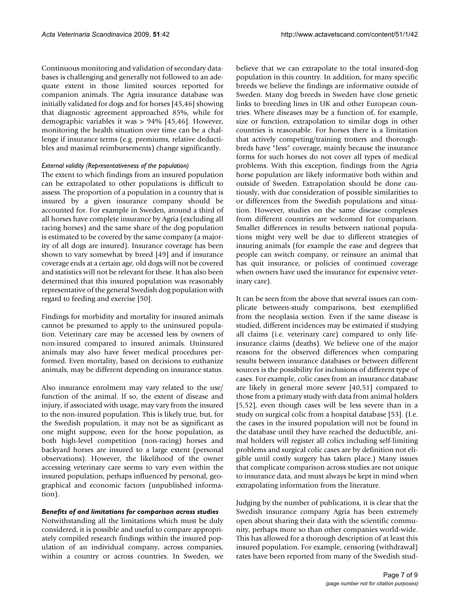Continuous monitoring and validation of secondary databases is challenging and generally not followed to an adequate extent in those limited sources reported for companion animals. The Agria insurance database was initially validated for dogs and for horses [[45,](#page-8-37)[46\]](#page-8-38) showing that diagnostic agreement approached 85%, while for demographic variables it was > 94% [[45,](#page-8-37)[46\]](#page-8-38). However, monitoring the health situation over time can be a challenge if insurance terms (e.g. premiums, relative deductibles and maximal reimbursements) change significantly.

#### *External validity (Representativeness of the population)*

The extent to which findings from an insured population can be extrapolated to other populations is difficult to assess. The proportion of a population in a country that is insured by a given insurance company should be accounted for. For example in Sweden, around a third of all horses have complete insurance by Agria (excluding all racing horses) and the same share of the dog population is estimated to be covered by the same company (a majority of all dogs are insured). Insurance coverage has been shown to vary somewhat by breed [[49](#page-8-40)] and if insurance coverage ends at a certain age, old dogs will not be covered and statistics will not be relevant for these. It has also been determined that this insured population was reasonably representative of the general Swedish dog population with regard to feeding and exercise [\[50](#page-8-41)].

Findings for morbidity and mortality for insured animals cannot be presumed to apply to the uninsured population. Veterinary care may be accessed less by owners of non-insured compared to insured animals. Uninsured animals may also have fewer medical procedures performed. Even mortality, based on decisions to euthanize animals, may be different depending on insurance status.

Also insurance enrolment may vary related to the use/ function of the animal. If so, the extent of disease and injury, if associated with usage, may vary from the insured to the non-insured population. This is likely true, but, for the Swedish population, it may not be as significant as one might suppose, even for the horse population, as both high-level competition (non-racing) horses and backyard horses are insured to a large extent (personal observations). However, the likelihood of the owner accessing veterinary care seems to vary even within the insured population, perhaps influenced by personal, geographical and economic factors (unpublished information).

#### *Benefits of and limitations for comparison across studies*

Notwithstanding all the limitations which must be duly considered, it is possible and useful to compare appropriately compiled research findings within the insured population of an individual company, across companies, within a country or across countries. In Sweden, we believe that we can extrapolate to the total insured-dog population in this country. In addition, for many specific breeds we believe the findings are informative outside of Sweden. Many dog breeds in Sweden have close genetic links to breeding lines in UK and other European countries. Where diseases may be a function of, for example, size or function, extrapolation to similar dogs in other countries is reasonable. For horses there is a limitation that actively competing/training trotters and thoroughbreds have "less" coverage, mainly because the insurance forms for such horses do not cover all types of medical problems. With this exception, findings from the Agria horse population are likely informative both within and outside of Sweden. Extrapolation should be done cautiously, with due consideration of possible similarities to or differences from the Swedish populations and situation. However, studies on the same disease complexes from different countries are welcomed for comparison. Smaller differences in results between national populations might very well be due to different strategies of insuring animals (for example the ease and degrees that people can switch company, or reinsure an animal that has quit insurance, or policies of continued coverage when owners have used the insurance for expensive veterinary care).

It can be seen from the above that several issues can complicate between-study comparisons, best exemplified from the neoplasia section. Even if the same disease is studied, different incidences may be estimated if studying all claims (i.e. veterinary care) compared to only lifeinsurance claims (deaths). We believe one of the major reasons for the observed differences when comparing results between insurance databases or between different sources is the possibility for inclusions of different type of cases. For example, colic cases from an insurance database are likely in general more severe [\[40](#page-8-30),[51\]](#page-8-28) compared to those from a primary study with data from animal holders [[5](#page-7-4)[,52](#page-8-42)], even though cases will be less severe than in a study on surgical colic from a hospital database [\[53\]](#page-8-43). (I.e. the cases in the insured population will not be found in the database until they have reached the deductible, animal holders will register all colics including self-limiting problems and surgical colic cases are by definition not eligible until costly surgery has taken place.) Many issues that complicate comparison across studies are not unique to insurance data, and must always be kept in mind when extrapolating information from the literature.

Judging by the number of publications, it is clear that the Swedish insurance company Agria has been extremely open about sharing their data with the scientific community, perhaps more so than other companies world-wide. This has allowed for a thorough description of at least this insured population. For example, censoring (withdrawal) rates have been reported from many of the Swedish stud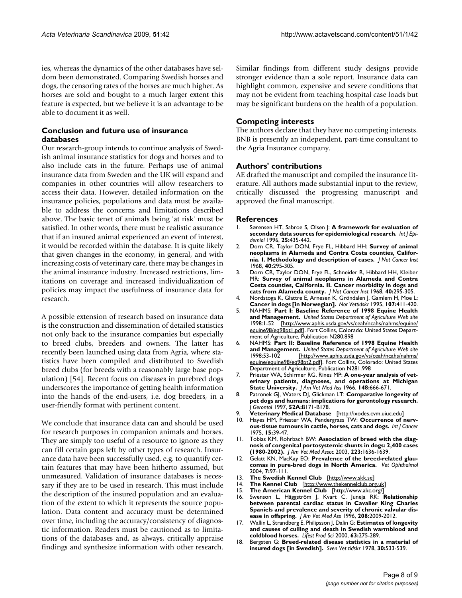ies, whereas the dynamics of the other databases have seldom been demonstrated. Comparing Swedish horses and dogs, the censoring rates of the horses are much higher. As horses are sold and bought to a much larger extent this feature is expected, but we believe it is an advantage to be able to document it as well.

#### **Conclusion and future use of insurance databases**

Our research-group intends to continue analysis of Swedish animal insurance statistics for dogs and horses and to also include cats in the future. Perhaps use of animal insurance data from Sweden and the UK will expand and companies in other countries will allow researchers to access their data. However, detailed information on the insurance policies, populations and data must be available to address the concerns and limitations described above. The basic tenet of animals being 'at risk' must be satisfied. In other words, there must be realistic assurance that if an insured animal experienced an event of interest, it would be recorded within the database. It is quite likely that given changes in the economy, in general, and with increasing costs of veterinary care, there may be changes in the animal insurance industry. Increased restrictions, limitations on coverage and increased individualization of policies may impact the usefulness of insurance data for research.

A possible extension of research based on insurance data is the construction and dissemination of detailed statistics not only back to the insurance companies but especially to breed clubs, breeders and owners. The latter has recently been launched using data from Agria, where statistics have been compiled and distributed to Swedish breed clubs (for breeds with a reasonably large base population) [\[54\]](#page-8-44). Recent focus on diseases in purebred dogs underscores the importance of getting health information into the hands of the end-users, i.e. dog breeders, in a user-friendly format with pertinent content.

We conclude that insurance data can and should be used for research purposes in companion animals and horses. They are simply too useful of a resource to ignore as they can fill certain gaps left by other types of research. Insurance data have been successfully used, e.g. to quantify certain features that may have been hitherto assumed, but unmeasured. Validation of insurance databases is necessary if they are to be used in research. This must include the description of the insured population and an evaluation of the extent to which it represents the source population. Data content and accuracy must be determined over time, including the accuracy/consistency of diagnostic information. Readers must be cautioned as to limitations of the databases and, as always, critically appraise findings and synthesize information with other research.

Similar findings from different study designs provide stronger evidence than a sole report. Insurance data can highlight common, expensive and severe conditions that may not be evident from teaching hospital case loads but may be significant burdens on the health of a population.

#### **Competing interests**

The authors declare that they have no competing interests. BNB is presently an independent, part-time consultant to the Agria Insurance company.

#### **Authors' contributions**

AE drafted the manuscript and compiled the insurance literature. All authors made substantial input to the review, critically discussed the progressing manuscript and approved the final manuscript.

#### **References**

- <span id="page-7-0"></span>1. Sørensen HT, Sabroe S, Olsen J: **[A framework for evaluation of](http://www.ncbi.nlm.nih.gov/entrez/query.fcgi?cmd=Retrieve&db=PubMed&dopt=Abstract&list_uids=9119571) [secondary data sources for epidemiological research.](http://www.ncbi.nlm.nih.gov/entrez/query.fcgi?cmd=Retrieve&db=PubMed&dopt=Abstract&list_uids=9119571)** *Int J Epidemiol* 1996, **25:**435-442.
- <span id="page-7-1"></span>2. Dorn CR, Taylor DON, Frye FL, Hibbard HH: **[Survey of animal](http://www.ncbi.nlm.nih.gov/entrez/query.fcgi?cmd=Retrieve&db=PubMed&dopt=Abstract&list_uids=5694271) [neoplasms in Alameda and Contra Costa counties, Califor](http://www.ncbi.nlm.nih.gov/entrez/query.fcgi?cmd=Retrieve&db=PubMed&dopt=Abstract&list_uids=5694271)[nia. I. Methodology and description of cases.](http://www.ncbi.nlm.nih.gov/entrez/query.fcgi?cmd=Retrieve&db=PubMed&dopt=Abstract&list_uids=5694271)** *J Nat Cancer Inst* 1968, **40:**295-305.
- <span id="page-7-3"></span>3. Dorn CR, Taylor DON, Frye FL, Schneider R, Hibbard HH, Kleiber MR: **[Survey of animal neoplasms in Alameda and Contra](http://www.ncbi.nlm.nih.gov/entrez/query.fcgi?cmd=Retrieve&db=PubMed&dopt=Abstract&list_uids=5694271) [Costa counties, California. II. Cancer morbidity in dogs and](http://www.ncbi.nlm.nih.gov/entrez/query.fcgi?cmd=Retrieve&db=PubMed&dopt=Abstract&list_uids=5694271) [cats from Alameda county.](http://www.ncbi.nlm.nih.gov/entrez/query.fcgi?cmd=Retrieve&db=PubMed&dopt=Abstract&list_uids=5694271)** *J Nat Cancer Inst* 1968, **40:**295-305.
- <span id="page-7-2"></span>4. Nordstoga K, Glattre E, Arnesen K, Gröndalen J, Gamlem H, Moe L: **Cancer in dogs [in Norwegian].** *Nor Vettidskr* 1995, **107:**411-420.
- <span id="page-7-4"></span>5. NAHMS: **Part I: Baseline Reference of 1998 Equine Health and Management.** *United States Department of Agriculture Web site* 1998:1-52 [[http://www.aphis.usda.gov/vs/ceah/ncahs/nahms/equine/](http://www.aphis.usda.gov/vs/ceah/ncahs/nahms/equine/equine98/eq98pt1.pdf) [equine98/eq98pt1.pdf](http://www.aphis.usda.gov/vs/ceah/ncahs/nahms/equine/equine98/eq98pt1.pdf)]. Fort Collins, Colorado: United States Department of Agriculture, Publication N280.898
- <span id="page-7-5"></span>6. NAHMS: **Part II: Baseline Reference of 1998 Equine Health and Management.** *United States Department of Agriculture Web site* [[http://www.aphis.usda.gov/vs/ceah/ncahs/nahms/](http://www.aphis.usda.gov/vs/ceah/ncahs/nahms/equine/equine98/eq98pt2.pdf) [equine/equine98/eq98pt2.pdf\]](http://www.aphis.usda.gov/vs/ceah/ncahs/nahms/equine/equine98/eq98pt2.pdf). Fort Collins, Colorado: United States Department of Agriculture, Publication N281.998
- <span id="page-7-6"></span>7. Priester WA, Schirmer RG, Rines MP: **A one-year analysis of veterinary patients, diagnoses, and operations at Michigan State University.** *J Am Vet Med Ass* 1966, **148:**666-671.
- <span id="page-7-7"></span>8. Patronek GJ, Waters DJ, Glickman LT: **Comparative longevity of pet dogs and humans: implications for gerontology research.** *J Gerontol* 1997, **52A:**B171-B178.
- <span id="page-7-8"></span>9. **Veterinary Medical Database** [[http://ixodes.cvm.uiuc.edu\]](http://ixodes.cvm.uiuc.edu)
- <span id="page-7-9"></span>10. Hayes HM, Priester WA, Pendergrass TW: **[Occurrence of nerv](http://www.ncbi.nlm.nih.gov/entrez/query.fcgi?cmd=Retrieve&db=PubMed&dopt=Abstract&list_uids=165149)[ous-tissue tumours in cattle, horses, cats and dogs.](http://www.ncbi.nlm.nih.gov/entrez/query.fcgi?cmd=Retrieve&db=PubMed&dopt=Abstract&list_uids=165149)** *Int J Cancer* 1975, **15:**39-47.
- <span id="page-7-10"></span>11. Tobias KM, Rohrbach BW: **[Association of breed with the diag](http://www.ncbi.nlm.nih.gov/entrez/query.fcgi?cmd=Retrieve&db=PubMed&dopt=Abstract&list_uids=14664452)[nosis of congenital portosystemic shunts in dogs: 2,400 cases](http://www.ncbi.nlm.nih.gov/entrez/query.fcgi?cmd=Retrieve&db=PubMed&dopt=Abstract&list_uids=14664452) [\(1980-2002\).](http://www.ncbi.nlm.nih.gov/entrez/query.fcgi?cmd=Retrieve&db=PubMed&dopt=Abstract&list_uids=14664452)** *J Am Vet Med Assoc* 2003, **223:**1636-1639.
- <span id="page-7-11"></span>12. Gelatt KN, MacKay EO: **[Prevalence of the breed-related glau](http://www.ncbi.nlm.nih.gov/entrez/query.fcgi?cmd=Retrieve&db=PubMed&dopt=Abstract&list_uids=14982589)[comas in pure-bred dogs in North America.](http://www.ncbi.nlm.nih.gov/entrez/query.fcgi?cmd=Retrieve&db=PubMed&dopt=Abstract&list_uids=14982589)** *Vet Ophthalmol* 2004, **7:**97-111.
- <span id="page-7-12"></span>13. **The Swedish Kennel Club** [\[http://www.skk.se\]](http://www.skk.se)<br>14. **The Kennel Club** [http://www.thekennelclub.org
- <span id="page-7-13"></span>14. **The Kennel Club** [\[http://www.thekennelclub.org.uk](http://www.thekennelclub.org.uk)]<br>15. **The American Kennel Club** [http://www.akc.org/]
- <span id="page-7-14"></span>15. **The American Kennel Club** [[http://www.akc.org/\]](http://www.akc.org/)
- <span id="page-7-15"></span>16. Swenson L, Häggström J, Kvart C, Juneja RK: **Relationship between parental cardiac status in Cavalier King Charles Spaniels and prevalence and severity of chronic valvular disease in offspring.** *J Am Vet Med Ass* 1996, **208:**2009-2012.
- <span id="page-7-16"></span>17. Wallin L, Strandberg E, Philipsson J, Dalin G: **Estimates of longevity and causes of culling and death in Swedish warmblood and coldblood horses.** *Lifest Prod Sci* 2000, **63:**275-289.
- <span id="page-7-17"></span>18. Bergsten G: **Breed-related disease statistics in a material of insured dogs [in Swedish].** *Sven Vet tidskr* 1978, **30:**533-539.